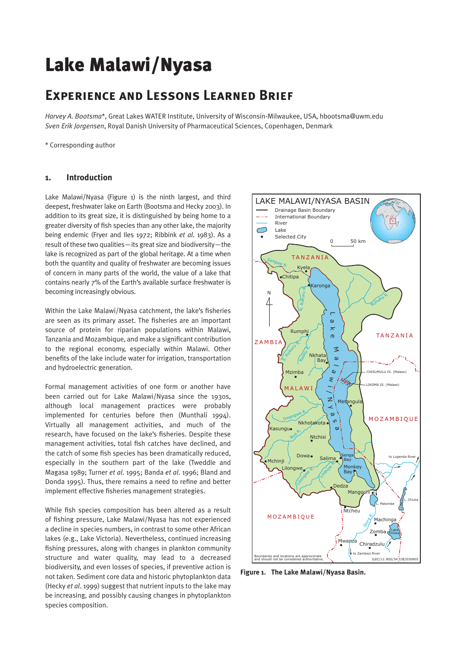# Lake Malawi/Nyasa

# **Experience and Lessons Learned Brief**

*Harvey A. Bootsma*\*, Great Lakes WATER Institute, University of Wisconsin-Milwaukee, USA, hbootsma@uwm.edu *Sven Erik Jorgensen*, Royal Danish University of Pharmaceutical Sciences, Copenhagen, Denmark

\* Corresponding author

#### **1. Introduction**

Lake Malawi/Nyasa (Figure 1) is the ninth largest, and third deepest, freshwater lake on Earth (Bootsma and Hecky 2003). In addition to its great size, it is distinguished by being home to a greater diversity of fish species than any other lake, the majority being endemic (Fryer and Iles 1972; Ribbink *et al*. 1983). As a result of these two qualities—its great size and biodiversity—the lake is recognized as part of the global heritage. At a time when both the quantity and quality of freshwater are becoming issues of concern in many parts of the world, the value of a lake that contains nearly 7% of the Earth's available surface freshwater is becoming increasingly obvious.

Within the Lake Malawi/Nyasa catchment, the lake's fisheries are seen as its primary asset. The fisheries are an important source of protein for riparian populations within Malawi, Tanzania and Mozambique, and make a significant contribution to the regional economy, especially within Malawi. Other benefits of the lake include water for irrigation, transportation and hydroelectric generation.

Formal management activities of one form or another have been carried out for Lake Malawi/Nyasa since the 1930s, although local management practices were probably implemented for centuries before then (Munthali 1994). Virtually all management activities, and much of the research, have focused on the lake's fisheries. Despite these management activities, total fish catches have declined, and the catch of some fish species has been dramatically reduced, especially in the southern part of the lake (Tweddle and Magasa 1989; Turner *et al*. 1995; Banda *et al*. 1996; Bland and Donda 1995). Thus, there remains a need to refine and better implement effective fisheries management strategies.

While fish species composition has been altered as a result of fishing pressure, Lake Malawi/Nyasa has not experienced a decline in species numbers, in contrast to some other African lakes (e.g., Lake Victoria). Nevertheless, continued increasing fishing pressures, along with changes in plankton community structure and water quality, may lead to a decreased biodiversity, and even losses of species, if preventive action is not taken. Sediment core data and historic phytoplankton data (Hecky *et al*. 1999) suggest that nutrient inputs to the lake may be increasing, and possibly causing changes in phytoplankton species composition.



**Figure 1. The Lake Malawi/Nyasa Basin.**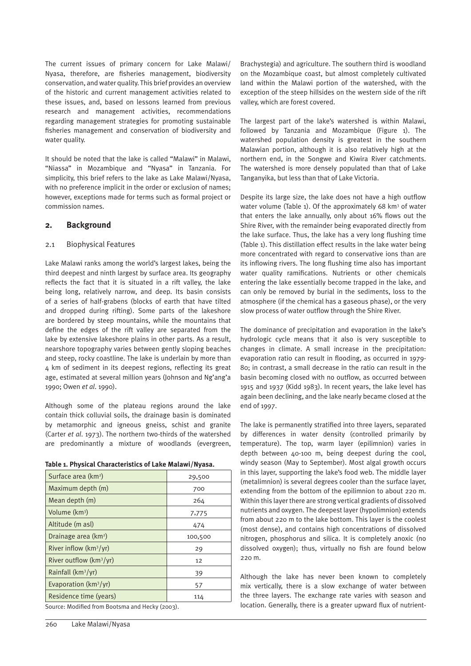The current issues of primary concern for Lake Malawi/ Nyasa, therefore, are fisheries management, biodiversity conservation, and water quality. This brief provides an overview of the historic and current management activities related to these issues, and, based on lessons learned from previous research and management activities, recommendations regarding management strategies for promoting sustainable fisheries management and conservation of biodiversity and water quality.

It should be noted that the lake is called "Malawi" in Malawi, "Niassa" in Mozambique and "Nyasa" in Tanzania. For simplicity, this brief refers to the lake as Lake Malawi/Nyasa, with no preference implicit in the order or exclusion of names; however, exceptions made for terms such as formal project or commission names.

# **2. Background**

#### 2.1 Biophysical Features

Lake Malawi ranks among the world's largest lakes, being the third deepest and ninth largest by surface area. Its geography reflects the fact that it is situated in a rift valley, the lake being long, relatively narrow, and deep. Its basin consists of a series of half-grabens (blocks of earth that have tilted and dropped during rifting). Some parts of the lakeshore are bordered by steep mountains, while the mountains that define the edges of the rift valley are separated from the lake by extensive lakeshore plains in other parts. As a result, nearshore topography varies between gently sloping beaches and steep, rocky coastline. The lake is underlain by more than 4 km of sediment in its deepest regions, reflecting its great age, estimated at several million years (Johnson and Ng'ang'a 1990; Owen *et al*. 1990).

Although some of the plateau regions around the lake contain thick colluvial soils, the drainage basin is dominated by metamorphic and igneous gneiss, schist and granite (Carter *et al*. 1973). The northern two-thirds of the watershed are predominantly a mixture of woodlands (evergreen,

|  |  | Table 1. Physical Characteristics of Lake Malawi/Nyasa. |  |  |
|--|--|---------------------------------------------------------|--|--|
|  |  |                                                         |  |  |

| Surface area (km <sup>2</sup> )           | 29,500  |
|-------------------------------------------|---------|
| Maximum depth (m)                         | 700     |
| Mean depth (m)                            | 264     |
| Volume (km <sup>3</sup> )                 | 7,775   |
| Altitude (m asl)                          | 474     |
| Drainage area (km <sup>2</sup> )          | 100,500 |
| River inflow $(km^3/yr)$                  | 29      |
| River outflow $(km^3/yr)$                 | 12      |
| Rainfall $(km^3/yr)$                      | 39      |
| Evaporation ( $km^3/yr$ )                 | 57      |
| Residence time (years)                    | 114     |
| $\cdots$ , $\cdots$ , $\cdots$ , $\cdots$ |         |

Source: Modified from Bootsma and Hecky (2003).

Brachystegia) and agriculture. The southern third is woodland on the Mozambique coast, but almost completely cultivated land within the Malawi portion of the watershed, with the exception of the steep hillsides on the western side of the rift valley, which are forest covered.

The largest part of the lake's watershed is within Malawi, followed by Tanzania and Mozambique (Figure 1). The watershed population density is greatest in the southern Malawian portion, although it is also relatively high at the northern end, in the Songwe and Kiwira River catchments. The watershed is more densely populated than that of Lake Tanganyika, but less than that of Lake Victoria.

Despite its large size, the lake does not have a high outflow water volume (Table 1). Of the approximately 68 km<sup>3</sup> of water that enters the lake annually, only about 16% flows out the Shire River, with the remainder being evaporated directly from the lake surface. Thus, the lake has a very long flushing time (Table 1). This distillation effect results in the lake water being more concentrated with regard to conservative ions than are its inflowing rivers. The long flushing time also has important water quality ramifications. Nutrients or other chemicals entering the lake essentially become trapped in the lake, and can only be removed by burial in the sediments, loss to the atmosphere (if the chemical has a gaseous phase), or the very slow process of water outflow through the Shire River.

The dominance of precipitation and evaporation in the lake's hydrologic cycle means that it also is very susceptible to changes in climate. A small increase in the precipitation: evaporation ratio can result in flooding, as occurred in 1979- 80; in contrast, a small decrease in the ratio can result in the basin becoming closed with no outflow, as occurred between 1915 and 1937 (Kidd 1983). In recent years, the lake level has again been declining, and the lake nearly became closed at the end of 1997.

The lake is permanently stratified into three layers, separated by differences in water density (controlled primarily by temperature). The top, warm layer (epilimnion) varies in depth between 40-100 m, being deepest during the cool, windy season (May to September). Most algal growth occurs in this layer, supporting the lake's food web. The middle layer (metalimnion) is several degrees cooler than the surface layer, extending from the bottom of the epilimnion to about 220 m. Within this layer there are strong vertical gradients of dissolved nutrients and oxygen. The deepest layer (hypolimnion) extends from about 220 m to the lake bottom. This layer is the coolest (most dense), and contains high concentrations of dissolved nitrogen, phosphorus and silica. It is completely anoxic (no dissolved oxygen); thus, virtually no fish are found below 220 m.

Although the lake has never been known to completely mix vertically, there is a slow exchange of water between the three layers. The exchange rate varies with season and location. Generally, there is a greater upward flux of nutrient-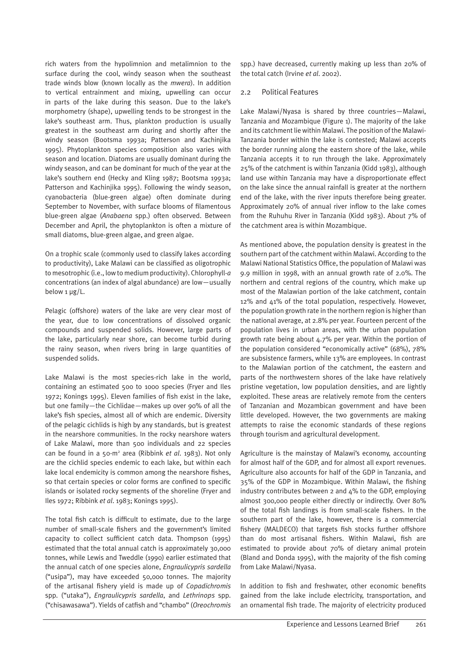rich waters from the hypolimnion and metalimnion to the surface during the cool, windy season when the southeast trade winds blow (known locally as the *mwera*). In addition to vertical entrainment and mixing, upwelling can occur in parts of the lake during this season. Due to the lake's morphometry (shape), upwelling tends to be strongest in the lake's southeast arm. Thus, plankton production is usually greatest in the southeast arm during and shortly after the windy season (Bootsma 1993a; Patterson and Kachinjika 1995). Phytoplankton species composition also varies with season and location. Diatoms are usually dominant during the windy season, and can be dominant for much of the year at the lake's southern end (Hecky and Kling 1987; Bootsma 1993a; Patterson and Kachinjika 1995). Following the windy season, cyanobacteria (blue-green algae) often dominate during September to November, with surface blooms of filamentous blue-green algae (*Anabaena* spp.) often observed. Between December and April, the phytoplankton is often a mixture of small diatoms, blue-green algae, and green algae.

On a trophic scale (commonly used to classify lakes according to productivity), Lake Malawi can be classified as oligotrophic to mesotrophic (i.e., low to medium productivity). Chlorophyll-*a* concentrations (an index of algal abundance) are low—usually below 1 µg/L.

Pelagic (offshore) waters of the lake are very clear most of the year, due to low concentrations of dissolved organic compounds and suspended solids. However, large parts of the lake, particularly near shore, can become turbid during the rainy season, when rivers bring in large quantities of suspended solids.

Lake Malawi is the most species-rich lake in the world, containing an estimated 500 to 1000 species (Fryer and Iles 1972; Konings 1995). Eleven families of fish exist in the lake, but one family—the Cichlidae—makes up over 90% of all the lake's fish species, almost all of which are endemic. Diversity of the pelagic cichlids is high by any standards, but is greatest in the nearshore communities. In the rocky nearshore waters of Lake Malawi, more than 500 individuals and 22 species can be found in a 50-m2 area (Ribbink *et al*. 1983). Not only are the cichlid species endemic to each lake, but within each lake local endemicity is common among the nearshore fishes, so that certain species or color forms are confined to specific islands or isolated rocky segments of the shoreline (Fryer and Iles 1972; Ribbink *et al*. 1983; Konings 1995).

The total fish catch is difficult to estimate, due to the large number of small-scale fishers and the government's limited capacity to collect sufficient catch data. Thompson (1995) estimated that the total annual catch is approximately 30,000 tonnes, while Lewis and Tweddle (1990) earlier estimated that the annual catch of one species alone, *Engraulicypris sardella* ("usipa"), may have exceeded 50,000 tonnes. The majority of the artisanal fishery yield is made up of *Copadichromis* spp. ("utaka"), *Engraulicypris sardella*, and *Lethrinops* spp. ("chisawasawa"). Yields of catfish and "chambo" (*Oreochromis* spp.) have decreased, currently making up less than 20% of the total catch (Irvine *et al*. 2002).

#### 2.2 Political Features

Lake Malawi/Nyasa is shared by three countries—Malawi, Tanzania and Mozambique (Figure 1). The majority of the lake and its catchment lie within Malawi. The position of the Malawi-Tanzania border within the lake is contested; Malawi accepts the border running along the eastern shore of the lake, while Tanzania accepts it to run through the lake. Approximately 25% of the catchment is within Tanzania (Kidd 1983), although land use within Tanzania may have a disproportionate effect on the lake since the annual rainfall is greater at the northern end of the lake, with the river inputs therefore being greater. Approximately 20% of annual river inflow to the lake comes from the Ruhuhu River in Tanzania (Kidd 1983). About 7% of the catchment area is within Mozambique.

As mentioned above, the population density is greatest in the southern part of the catchment within Malawi. According to the Malawi National Statistics Office, the population of Malawi was 9.9 million in 1998, with an annual growth rate of 2.0%. The northern and central regions of the country, which make up most of the Malawian portion of the lake catchment, contain 12% and 41% of the total population, respectively. However, the population growth rate in the northern region is higher than the national average, at 2.8% per year. Fourteen percent of the population lives in urban areas, with the urban population growth rate being about 4.7% per year. Within the portion of the population considered "economically active" (68%), 78% are subsistence farmers, while 13% are employees. In contrast to the Malawian portion of the catchment, the eastern and parts of the northwestern shores of the lake have relatively pristine vegetation, low population densities, and are lightly exploited. These areas are relatively remote from the centers of Tanzanian and Mozambican government and have been little developed. However, the two governments are making attempts to raise the economic standards of these regions through tourism and agricultural development.

Agriculture is the mainstay of Malawi's economy, accounting for almost half of the GDP, and for almost all export revenues. Agriculture also accounts for half of the GDP in Tanzania, and 35% of the GDP in Mozambique. Within Malawi, the fishing industry contributes between 2 and  $4\%$  to the GDP, employing almost 300,000 people either directly or indirectly. Over 80% of the total fish landings is from small-scale fishers. In the southern part of the lake, however, there is a commercial fishery (MALDECO) that targets fish stocks further offshore than do most artisanal fishers. Within Malawi, fish are estimated to provide about 70% of dietary animal protein (Bland and Donda 1995), with the majority of the fish coming from Lake Malawi/Nyasa.

In addition to fish and freshwater, other economic benefits gained from the lake include electricity, transportation, and an ornamental fish trade. The majority of electricity produced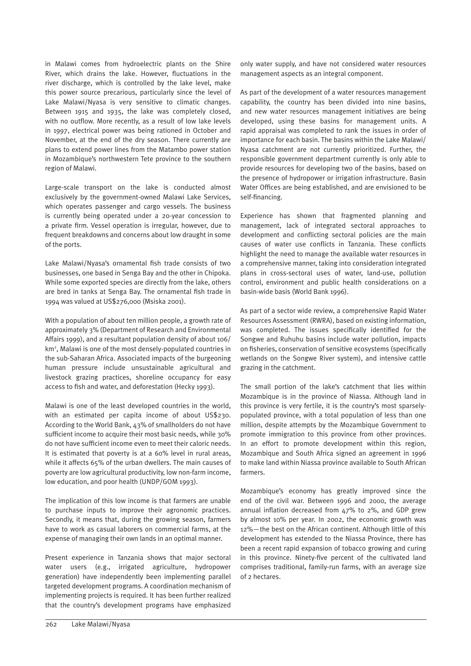in Malawi comes from hydroelectric plants on the Shire River, which drains the lake. However, fluctuations in the river discharge, which is controlled by the lake level, make this power source precarious, particularly since the level of Lake Malawi/Nyasa is very sensitive to climatic changes. Between 1915 and 1935, the lake was completely closed, with no outflow. More recently, as a result of low lake levels in 1997, electrical power was being rationed in October and November, at the end of the dry season. There currently are plans to extend power lines from the Matambo power station in Mozambique's northwestern Tete province to the southern region of Malawi.

Large-scale transport on the lake is conducted almost exclusively by the government-owned Malawi Lake Services, which operates passenger and cargo vessels. The business is currently being operated under a 20-year concession to a private firm. Vessel operation is irregular, however, due to frequent breakdowns and concerns about low draught in some of the ports.

Lake Malawi/Nyasa's ornamental fish trade consists of two businesses, one based in Senga Bay and the other in Chipoka. While some exported species are directly from the lake, others are bred in tanks at Senga Bay. The ornamental fish trade in 1994 was valued at US\$276,000 (Msiska 2001).

With a population of about ten million people, a growth rate of approximately 3% (Department of Research and Environmental Affairs 1999), and a resultant population density of about 106/ km2 , Malawi is one of the most densely-populated countries in the sub-Saharan Africa. Associated impacts of the burgeoning human pressure include unsustainable agricultural and livestock grazing practices, shoreline occupancy for easy access to fish and water, and deforestation (Hecky 1993).

Malawi is one of the least developed countries in the world, with an estimated per capita income of about US\$230. According to the World Bank, 43% of smallholders do not have sufficient income to acquire their most basic needs, while 30% do not have sufficient income even to meet their caloric needs. It is estimated that poverty is at a 60% level in rural areas, while it affects 65% of the urban dwellers. The main causes of poverty are low agricultural productivity, low non-farm income, low education, and poor health (UNDP/GOM 1993).

The implication of this low income is that farmers are unable to purchase inputs to improve their agronomic practices. Secondly, it means that, during the growing season, farmers have to work as casual laborers on commercial farms, at the expense of managing their own lands in an optimal manner.

Present experience in Tanzania shows that major sectoral water users (e.g., irrigated agriculture, hydropower generation) have independently been implementing parallel targeted development programs. A coordination mechanism of implementing projects is required. It has been further realized that the country's development programs have emphasized only water supply, and have not considered water resources management aspects as an integral component.

As part of the development of a water resources management capability, the country has been divided into nine basins, and new water resources management initiatives are being developed, using these basins for management units. A rapid appraisal was completed to rank the issues in order of importance for each basin. The basins within the Lake Malawi/ Nyasa catchment are not currently prioritized. Further, the responsible government department currently is only able to provide resources for developing two of the basins, based on the presence of hydropower or irrigation infrastructure. Basin Water Offices are being established, and are envisioned to be self-financing.

Experience has shown that fragmented planning and management, lack of integrated sectoral approaches to development and conflicting sectoral policies are the main causes of water use conflicts in Tanzania. These conflicts highlight the need to manage the available water resources in a comprehensive manner, taking into consideration integrated plans in cross-sectoral uses of water, land-use, pollution control, environment and public health considerations on a basin-wide basis (World Bank 1996).

As part of a sector wide review, a comprehensive Rapid Water Resources Assessment (RWRA), based on existing information, was completed. The issues specifically identified for the Songwe and Ruhuhu basins include water pollution, impacts on fisheries, conservation of sensitive ecosystems (specifically wetlands on the Songwe River system), and intensive cattle grazing in the catchment.

The small portion of the lake's catchment that lies within Mozambique is in the province of Niassa. Although land in this province is very fertile, it is the country's most sparselypopulated province, with a total population of less than one million, despite attempts by the Mozambique Government to promote immigration to this province from other provinces. In an effort to promote development within this region, Mozambique and South Africa signed an agreement in 1996 to make land within Niassa province available to South African farmers.

Mozambique's economy has greatly improved since the end of the civil war. Between 1996 and 2000, the average annual inflation decreased from 47% to 2%, and GDP grew by almost 10% per year. In 2002, the economic growth was 12%—the best on the African continent. Although little of this development has extended to the Niassa Province, there has been a recent rapid expansion of tobacco growing and curing in this province. Ninety-five percent of the cultivated land comprises traditional, family-run farms, with an average size of 2 hectares.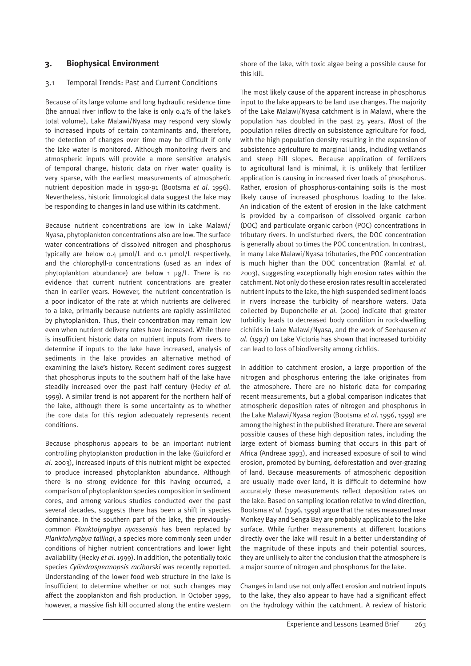#### **3. Biophysical Environment**

#### 3.1 Temporal Trends: Past and Current Conditions

Because of its large volume and long hydraulic residence time (the annual river inflow to the lake is only 0.4% of the lake's total volume), Lake Malawi/Nyasa may respond very slowly to increased inputs of certain contaminants and, therefore, the detection of changes over time may be difficult if only the lake water is monitored. Although monitoring rivers and atmospheric inputs will provide a more sensitive analysis of temporal change, historic data on river water quality is very sparse, with the earliest measurements of atmospheric nutrient deposition made in 1990-91 (Bootsma *et al*. 1996). Nevertheless, historic limnological data suggest the lake may be responding to changes in land use within its catchment.

Because nutrient concentrations are low in Lake Malawi/ Nyasa, phytoplankton concentrations also are low. The surface water concentrations of dissolved nitrogen and phosphorus typically are below 0.4 µmol/L and 0.1 µmol/L respectively, and the chlorophyll-*a* concentrations (used as an index of phytoplankton abundance) are below  $1 \mu g/L$ . There is no evidence that current nutrient concentrations are greater than in earlier years. However, the nutrient concentration is a poor indicator of the rate at which nutrients are delivered to a lake, primarily because nutrients are rapidly assimilated by phytoplankton. Thus, their concentration may remain low even when nutrient delivery rates have increased. While there is insufficient historic data on nutrient inputs from rivers to determine if inputs to the lake have increased, analysis of sediments in the lake provides an alternative method of examining the lake's history. Recent sediment cores suggest that phosphorus inputs to the southern half of the lake have steadily increased over the past half century (Hecky *et al*. 1999). A similar trend is not apparent for the northern half of the lake, although there is some uncertainty as to whether the core data for this region adequately represents recent conditions.

Because phosphorus appears to be an important nutrient controlling phytoplankton production in the lake (Guildford *et al*. 2003), increased inputs of this nutrient might be expected to produce increased phytoplankton abundance. Although there is no strong evidence for this having occurred, a comparison of phytoplankton species composition in sediment cores, and among various studies conducted over the past several decades, suggests there has been a shift in species dominance. In the southern part of the lake, the previouslycommon *Planktolyngbya nyassensis* has been replaced by *Planktolyngbya tallingi*, a species more commonly seen under conditions of higher nutrient concentrations and lower light availability (Hecky *et al*. 1999). In addition, the potentially toxic species *Cylindrospermopsis raciborski* was recently reported. Understanding of the lower food web structure in the lake is insufficient to determine whether or not such changes may affect the zooplankton and fish production. In October 1999, however, a massive fish kill occurred along the entire western

shore of the lake, with toxic algae being a possible cause for this kill.

The most likely cause of the apparent increase in phosphorus input to the lake appears to be land use changes. The majority of the Lake Malawi/Nyasa catchment is in Malawi, where the population has doubled in the past 25 years. Most of the population relies directly on subsistence agriculture for food, with the high population density resulting in the expansion of subsistence agriculture to marginal lands, including wetlands and steep hill slopes. Because application of fertilizers to agricultural land is minimal, it is unlikely that fertilizer application is causing in increased river loads of phosphorus. Rather, erosion of phosphorus-containing soils is the most likely cause of increased phosphorus loading to the lake. An indication of the extent of erosion in the lake catchment is provided by a comparison of dissolved organic carbon (DOC) and particulate organic carbon (POC) concentrations in tributary rivers. In undisturbed rivers, the DOC concentration is generally about 10 times the POC concentration. In contrast, in many Lake Malawi/Nyasa tributaries, the POC concentration is much higher than the DOC concentration (Ramlal *et al*. 2003), suggesting exceptionally high erosion rates within the catchment. Not only do these erosion rates result in accelerated nutrient inputs to the lake, the high suspended sediment loads in rivers increase the turbidity of nearshore waters. Data collected by Duponchelle *et al*. (2000) indicate that greater turbidity leads to decreased body condition in rock-dwelling cichlids in Lake Malawi/Nyasa, and the work of Seehausen *et al*. (1997) on Lake Victoria has shown that increased turbidity can lead to loss of biodiversity among cichlids.

In addition to catchment erosion, a large proportion of the nitrogen and phosphorus entering the lake originates from the atmosphere. There are no historic data for comparing recent measurements, but a global comparison indicates that atmospheric deposition rates of nitrogen and phosphorus in the Lake Malawi/Nyasa region (Bootsma *et al*. 1996, 1999) are among the highest in the published literature. There are several possible causes of these high deposition rates, including the large extent of biomass burning that occurs in this part of Africa (Andreae 1993), and increased exposure of soil to wind erosion, promoted by burning, deforestation and over-grazing of land. Because measurements of atmospheric deposition are usually made over land, it is difficult to determine how accurately these measurements reflect deposition rates on the lake. Based on sampling location relative to wind direction, Bootsma *et al*. (1996, 1999) argue that the rates measured near Monkey Bay and Senga Bay are probably applicable to the lake surface. While further measurements at different locations directly over the lake will result in a better understanding of the magnitude of these inputs and their potential sources, they are unlikely to alter the conclusion that the atmosphere is a major source of nitrogen and phosphorus for the lake.

Changes in land use not only affect erosion and nutrient inputs to the lake, they also appear to have had a significant effect on the hydrology within the catchment. A review of historic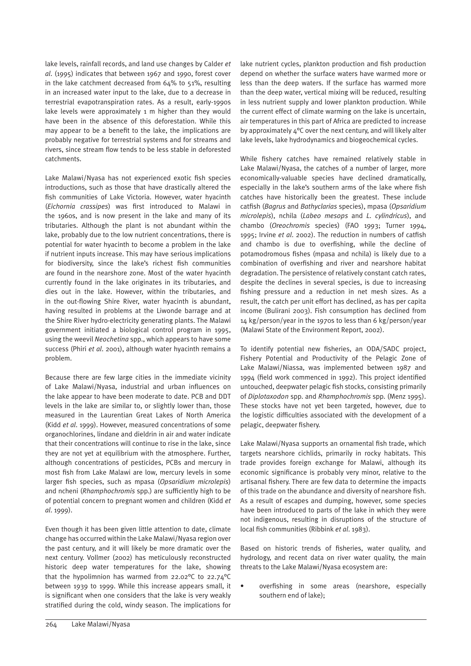lake levels, rainfall records, and land use changes by Calder *et al*. (1995) indicates that between 1967 and 1990, forest cover in the lake catchment decreased from 64% to 51%, resulting in an increased water input to the lake, due to a decrease in terrestrial evapotranspiration rates. As a result, early-1990s lake levels were approximately 1 m higher than they would have been in the absence of this deforestation. While this may appear to be a benefit to the lake, the implications are probably negative for terrestrial systems and for streams and rivers, since stream flow tends to be less stable in deforested catchments.

Lake Malawi/Nyasa has not experienced exotic fish species introductions, such as those that have drastically altered the fish communities of Lake Victoria. However, water hyacinth (*Eichornia crassipes*) was first introduced to Malawi in the 1960s, and is now present in the lake and many of its tributaries. Although the plant is not abundant within the lake, probably due to the low nutrient concentrations, there is potential for water hyacinth to become a problem in the lake if nutrient inputs increase. This may have serious implications for biodiversity, since the lake's richest fish communities are found in the nearshore zone. Most of the water hyacinth currently found in the lake originates in its tributaries, and dies out in the lake. However, within the tributaries, and in the out-flowing Shire River, water hyacinth is abundant, having resulted in problems at the Liwonde barrage and at the Shire River hydro-electricity generating plants. The Malawi government initiated a biological control program in 1995, using the weevil *Neochetina* spp., which appears to have some success (Phiri *et al*. 2001), although water hyacinth remains a problem.

Because there are few large cities in the immediate vicinity of Lake Malawi/Nyasa, industrial and urban influences on the lake appear to have been moderate to date. PCB and DDT levels in the lake are similar to, or slightly lower than, those measured in the Laurentian Great Lakes of North America (Kidd *et al*. 1999). However, measured concentrations of some organochlorines, lindane and dieldrin in air and water indicate that their concentrations will continue to rise in the lake, since they are not yet at equilibrium with the atmosphere. Further, although concentrations of pesticides, PCBs and mercury in most fish from Lake Malawi are low, mercury levels in some larger fish species, such as mpasa (*Opsaridium microlepis*) and ncheni (*Rhamphochromis* spp.) are sufficiently high to be of potential concern to pregnant women and children (Kidd *et al*. 1999).

Even though it has been given little attention to date, climate change has occurred within the Lake Malawi/Nyasa region over the past century, and it will likely be more dramatic over the next century. Vollmer (2002) has meticulously reconstructed historic deep water temperatures for the lake, showing that the hypolimnion has warmed from 22.02°C to 22.74°C between 1939 to 1999. While this increase appears small, it is significant when one considers that the lake is very weakly stratified during the cold, windy season. The implications for lake nutrient cycles, plankton production and fish production depend on whether the surface waters have warmed more or less than the deep waters. If the surface has warmed more than the deep water, vertical mixing will be reduced, resulting in less nutrient supply and lower plankton production. While the current effect of climate warming on the lake is uncertain, air temperatures in this part of Africa are predicted to increase by approximately 4°C over the next century, and will likely alter lake levels, lake hydrodynamics and biogeochemical cycles.

While fishery catches have remained relatively stable in Lake Malawi/Nyasa, the catches of a number of larger, more economically-valuable species have declined dramatically, especially in the lake's southern arms of the lake where fish catches have historically been the greatest. These include catfish (*Bagrus* and *Bathyclarias* species), mpasa (*Opsaridium microlepis*), nchila (*Labeo mesops* and *L. cylindricus*), and chambo (*Oreochromis* species) (FAO 1993; Turner 1994, 1995; Irvine *et al*. 2002). The reduction in numbers of catfish and chambo is due to overfishing, while the decline of potamodromous fishes (mpasa and nchila) is likely due to a combination of overfishing and river and nearshore habitat degradation. The persistence of relatively constant catch rates, despite the declines in several species, is due to increasing fishing pressure and a reduction in net mesh sizes. As a result, the catch per unit effort has declined, as has per capita income (Bulirani 2003). Fish consumption has declined from 14 kg/person/year in the 1970s to less than 6 kg/person/year (Malawi State of the Environment Report, 2002).

To identify potential new fisheries, an ODA/SADC project, Fishery Potential and Productivity of the Pelagic Zone of Lake Malawi/Niassa, was implemented between 1987 and 1994 (field work commenced in 1992). This project identified untouched, deepwater pelagic fish stocks, consisting primarily of *Diplotaxodon* spp. and *Rhamphochromis* spp. (Menz 1995). These stocks have not yet been targeted, however, due to the logistic difficulties associated with the development of a pelagic, deepwater fishery.

Lake Malawi/Nyasa supports an ornamental fish trade, which targets nearshore cichlids, primarily in rocky habitats. This trade provides foreign exchange for Malawi, although its economic significance is probably very minor, relative to the artisanal fishery. There are few data to determine the impacts of this trade on the abundance and diversity of nearshore fish. As a result of escapes and dumping, however, some species have been introduced to parts of the lake in which they were not indigenous, resulting in disruptions of the structure of local fish communities (Ribbink *et al*. 1983).

Based on historic trends of fisheries, water quality, and hydrology, and recent data on river water quality, the main threats to the Lake Malawi/Nyasa ecosystem are:

• overfishing in some areas (nearshore, especially southern end of lake);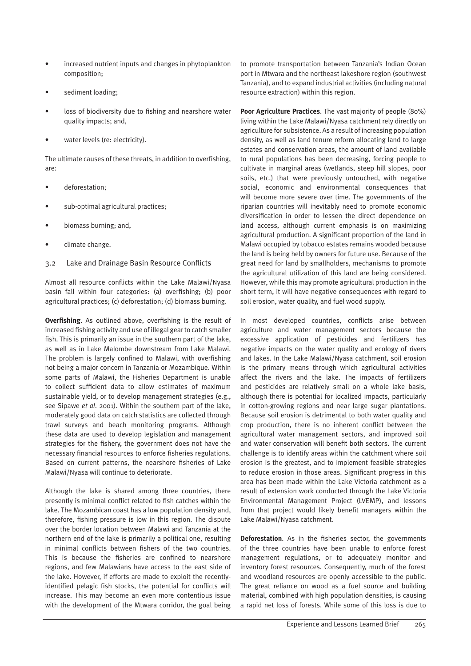- increased nutrient inputs and changes in phytoplankton composition;
- sediment loading;
- loss of biodiversity due to fishing and nearshore water quality impacts; and,
- water levels (re: electricity).

The ultimate causes of these threats, in addition to overfishing, are:

- deforestation;
- sub-optimal agricultural practices;
- biomass burning; and,
- climate change.
- 3.2 Lake and Drainage Basin Resource Conflicts

Almost all resource conflicts within the Lake Malawi/Nyasa basin fall within four categories: (a) overfishing; (b) poor agricultural practices; (c) deforestation; (d) biomass burning.

**Overfishing**. As outlined above, overfishing is the result of increased fishing activity and use of illegal gear to catch smaller fish. This is primarily an issue in the southern part of the lake, as well as in Lake Malombe downstream from Lake Malawi. The problem is largely confined to Malawi, with overfishing not being a major concern in Tanzania or Mozambique. Within some parts of Malawi, the Fisheries Department is unable to collect sufficient data to allow estimates of maximum sustainable yield, or to develop management strategies (e.g., see Sipawe *et al*. 2001). Within the southern part of the lake, moderately good data on catch statistics are collected through trawl surveys and beach monitoring programs. Although these data are used to develop legislation and management strategies for the fishery, the government does not have the necessary financial resources to enforce fisheries regulations. Based on current patterns, the nearshore fisheries of Lake Malawi/Nyasa will continue to deteriorate.

Although the lake is shared among three countries, there presently is minimal conflict related to fish catches within the lake. The Mozambican coast has a low population density and, therefore, fishing pressure is low in this region. The dispute over the border location between Malawi and Tanzania at the northern end of the lake is primarily a political one, resulting in minimal conflicts between fishers of the two countries. This is because the fisheries are confined to nearshore regions, and few Malawians have access to the east side of the lake. However, if efforts are made to exploit the recentlyidentified pelagic fish stocks, the potential for conflicts will increase. This may become an even more contentious issue with the development of the Mtwara corridor, the goal being to promote transportation between Tanzania's Indian Ocean port in Mtwara and the northeast lakeshore region (southwest Tanzania), and to expand industrial activities (including natural resource extraction) within this region.

**Poor Agriculture Practices**. The vast majority of people (80%) living within the Lake Malawi/Nyasa catchment rely directly on agriculture for subsistence. As a result of increasing population density, as well as land tenure reform allocating land to large estates and conservation areas, the amount of land available to rural populations has been decreasing, forcing people to cultivate in marginal areas (wetlands, steep hill slopes, poor soils, etc.) that were previously untouched, with negative social, economic and environmental consequences that will become more severe over time. The governments of the riparian countries will inevitably need to promote economic diversification in order to lessen the direct dependence on land access, although current emphasis is on maximizing agricultural production. A significant proportion of the land in Malawi occupied by tobacco estates remains wooded because the land is being held by owners for future use. Because of the great need for land by smallholders, mechanisms to promote the agricultural utilization of this land are being considered. However, while this may promote agricultural production in the short term, it will have negative consequences with regard to soil erosion, water quality, and fuel wood supply.

In most developed countries, conflicts arise between agriculture and water management sectors because the excessive application of pesticides and fertilizers has negative impacts on the water quality and ecology of rivers and lakes. In the Lake Malawi/Nyasa catchment, soil erosion is the primary means through which agricultural activities affect the rivers and the lake. The impacts of fertilizers and pesticides are relatively small on a whole lake basis, although there is potential for localized impacts, particularly in cotton-growing regions and near large sugar plantations. Because soil erosion is detrimental to both water quality and crop production, there is no inherent conflict between the agricultural water management sectors, and improved soil and water conservation will benefit both sectors. The current challenge is to identify areas within the catchment where soil erosion is the greatest, and to implement feasible strategies to reduce erosion in those areas. Significant progress in this area has been made within the Lake Victoria catchment as a result of extension work conducted through the Lake Victoria Environmental Management Project (LVEMP), and lessons from that project would likely benefit managers within the Lake Malawi/Nyasa catchment.

**Deforestation**. As in the fisheries sector, the governments of the three countries have been unable to enforce forest management regulations, or to adequately monitor and inventory forest resources. Consequently, much of the forest and woodland resources are openly accessible to the public. The great reliance on wood as a fuel source and building material, combined with high population densities, is causing a rapid net loss of forests. While some of this loss is due to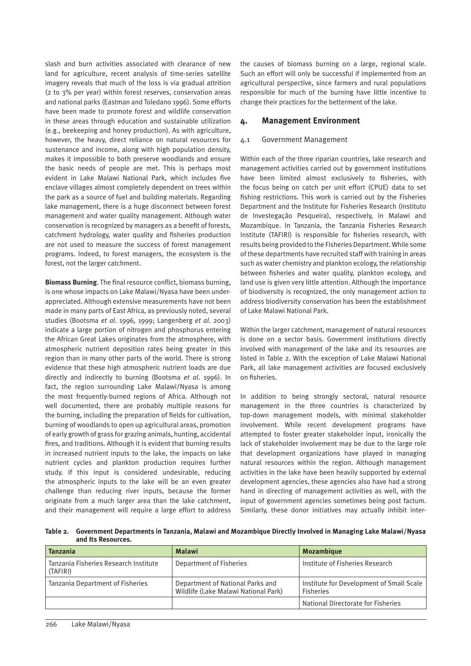slash and burn activities associated with clearance of new land for agriculture, recent analysis of time-series satellite imagery reveals that much of the loss is via gradual attrition (2 to 3% per year) within forest reserves, conservation areas and national parks (Eastman and Toledano 1996). Some efforts have been made to promote forest and wildlife conservation in these areas through education and sustainable utilization (e.g., beekeeping and honey production). As with agriculture, however, the heavy, direct reliance on natural resources for sustenance and income, along with high population density, makes it impossible to both preserve woodlands and ensure the basic needs of people are met. This is perhaps most evident in Lake Malawi National Park, which includes five enclave villages almost completely dependent on trees within the park as a source of fuel and building materials. Regarding lake management, there is a huge disconnect between forest management and water quality management. Although water conservation is recognized by managers as a benefit of forests, catchment hydrology, water quality and fisheries production are not used to measure the success of forest management programs. Indeed, to forest managers, the ecosystem is the forest, not the larger catchment.

**Biomass Burning**. The final resource conflict, biomass burning, is one whose impacts on Lake Malawi/Nyasa have been underappreciated. Although extensive measurements have not been made in many parts of East Africa, as previously noted, several studies (Bootsma *et al*. 1996, 1999; Langenberg *et al*. 2003) indicate a large portion of nitrogen and phosphorus entering the African Great Lakes originates from the atmosphere, with atmospheric nutrient deposition rates being greater in this region than in many other parts of the world. There is strong evidence that these high atmospheric nutrient loads are due directly and indirectly to burning (Bootsma *et al*. 1996). In fact, the region surrounding Lake Malawi/Nyasa is among the most frequently-burned regions of Africa. Although not well documented, there are probably multiple reasons for the burning, including the preparation of fields for cultivation, burning of woodlands to open up agricultural areas, promotion of early growth of grass for grazing animals, hunting, accidental fires, and traditions. Although it is evident that burning results in increased nutrient inputs to the lake, the impacts on lake nutrient cycles and plankton production requires further study. If this input is considered undesirable, reducing the atmospheric inputs to the lake will be an even greater challenge than reducing river inputs, because the former originate from a much larger area than the lake catchment, and their management will require a large effort to address the causes of biomass burning on a large, regional scale. Such an effort will only be successful if implemented from an agricultural perspective, since farmers and rural populations responsible for much of the burning have little incentive to change their practices for the betterment of the lake.

#### **4. Management Environment**

#### 4.1 Government Management

Within each of the three riparian countries, lake research and management activities carried out by government institutions have been limited almost exclusively to fisheries, with the focus being on catch per unit effort (CPUE) data to set fishing restrictions. This work is carried out by the Fisheries Department and the Institute for Fisheries Research (Instituto de Investegação Pesqueira), respectively, in Malawi and Mozambique. In Tanzania, the Tanzania Fisheries Research Institute (TAFIRI) is responsible for fisheries research, with results being provided to the Fisheries Department. While some of these departments have recruited staff with training in areas such as water chemistry and plankton ecology, the relationship between fisheries and water quality, plankton ecology, and land use is given very little attention. Although the importance of biodiversity is recognized, the only management action to address biodiversity conservation has been the establishment of Lake Malawi National Park.

Within the larger catchment, management of natural resources is done on a sector basis. Government institutions directly involved with management of the lake and its resources are listed in Table 2. With the exception of Lake Malawi National Park, all lake management activities are focused exclusively on fisheries.

In addition to being strongly sectoral, natural resource management in the three countries is characterized by top-down management models, with minimal stakeholder involvement. While recent development programs have attempted to foster greater stakeholder input, ironically the lack of stakeholder involvement may be due to the large role that development organizations have played in managing natural resources within the region. Although management activities in the lake have been heavily supported by external development agencies, these agencies also have had a strong hand in directing of management activities as well, with the input of government agencies sometimes being post factum. Similarly, these donor initiatives may actually inhibit inter-

**Table 2. Government Departments in Tanzania, Malawi and Mozambique Directly Involved in Managing Lake Malawi/Nyasa and Its Resources.**

| <b>Tanzania</b>                                   | <b>Malawi</b>                                                            | <b>Mozambique</b>                                            |
|---------------------------------------------------|--------------------------------------------------------------------------|--------------------------------------------------------------|
| Tanzania Fisheries Research Institute<br>(TAFIRI) | Department of Fisheries                                                  | Institute of Fisheries Research                              |
| Tanzania Department of Fisheries                  | Department of National Parks and<br>Wildlife (Lake Malawi National Park) | Institute for Development of Small Scale<br><b>Fisheries</b> |
|                                                   |                                                                          | National Directorate for Fisheries                           |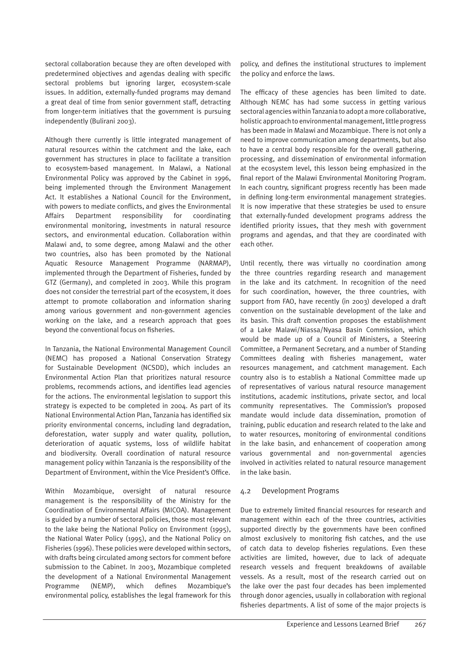sectoral collaboration because they are often developed with predetermined objectives and agendas dealing with specific sectoral problems but ignoring larger, ecosystem-scale issues. In addition, externally-funded programs may demand a great deal of time from senior government staff, detracting from longer-term initiatives that the government is pursuing independently (Bulirani 2003).

Although there currently is little integrated management of natural resources within the catchment and the lake, each government has structures in place to facilitate a transition to ecosystem-based management. In Malawi, a National Environmental Policy was approved by the Cabinet in 1996, being implemented through the Environment Management Act. It establishes a National Council for the Environment, with powers to mediate conflicts, and gives the Environmental Affairs Department responsibility for coordinating environmental monitoring, investments in natural resource sectors, and environmental education. Collaboration within Malawi and, to some degree, among Malawi and the other two countries, also has been promoted by the National Aquatic Resource Management Programme (NARMAP), implemented through the Department of Fisheries, funded by GTZ (Germany), and completed in 2003. While this program does not consider the terrestrial part of the ecosystem, it does attempt to promote collaboration and information sharing among various government and non-government agencies working on the lake, and a research approach that goes beyond the conventional focus on fisheries.

In Tanzania, the National Environmental Management Council (NEMC) has proposed a National Conservation Strategy for Sustainable Development (NCSDD), which includes an Environmental Action Plan that prioritizes natural resource problems, recommends actions, and identifies lead agencies for the actions. The environmental legislation to support this strategy is expected to be completed in 2004. As part of its National Environmental Action Plan, Tanzania has identified six priority environmental concerns, including land degradation, deforestation, water supply and water quality, pollution, deterioration of aquatic systems, loss of wildlife habitat and biodiversity. Overall coordination of natural resource management policy within Tanzania is the responsibility of the Department of Environment, within the Vice President's Office.

Within Mozambique, oversight of natural resource management is the responsibility of the Ministry for the Coordination of Environmental Affairs (MICOA). Management is guided by a number of sectoral policies, those most relevant to the lake being the National Policy on Environment (1995), the National Water Policy (1995), and the National Policy on Fisheries (1996). These policies were developed within sectors, with drafts being circulated among sectors for comment before submission to the Cabinet. In 2003, Mozambique completed the development of a National Environmental Management Programme (NEMP), which defines Mozambique's environmental policy, establishes the legal framework for this policy, and defines the institutional structures to implement the policy and enforce the laws.

The efficacy of these agencies has been limited to date. Although NEMC has had some success in getting various sectoral agencies within Tanzania to adopt a more collaborative, holistic approach to environmental management, little progress has been made in Malawi and Mozambique. There is not only a need to improve communication among departments, but also to have a central body responsible for the overall gathering, processing, and dissemination of environmental information at the ecosystem level, this lesson being emphasized in the final report of the Malawi Environmental Monitoring Program. In each country, significant progress recently has been made in defining long-term environmental management strategies. It is now imperative that these strategies be used to ensure that externally-funded development programs address the identified priority issues, that they mesh with government programs and agendas, and that they are coordinated with each other.

Until recently, there was virtually no coordination among the three countries regarding research and management in the lake and its catchment. In recognition of the need for such coordination, however, the three countries, with support from FAO, have recently (in 2003) developed a draft convention on the sustainable development of the lake and its basin. This draft convention proposes the establishment of a Lake Malawi/Niassa/Nyasa Basin Commission, which would be made up of a Council of Ministers, a Steering Committee, a Permanent Secretary, and a number of Standing Committees dealing with fisheries management, water resources management, and catchment management. Each country also is to establish a National Committee made up of representatives of various natural resource management institutions, academic institutions, private sector, and local community representatives. The Commission's proposed mandate would include data dissemination, promotion of training, public education and research related to the lake and to water resources, monitoring of environmental conditions in the lake basin, and enhancement of cooperation among various governmental and non-governmental agencies involved in activities related to natural resource management in the lake basin.

#### 4.2 Development Programs

Due to extremely limited financial resources for research and management within each of the three countries, activities supported directly by the governments have been confined almost exclusively to monitoring fish catches, and the use of catch data to develop fisheries regulations. Even these activities are limited, however, due to lack of adequate research vessels and frequent breakdowns of available vessels. As a result, most of the research carried out on the lake over the past four decades has been implemented through donor agencies, usually in collaboration with regional fisheries departments. A list of some of the major projects is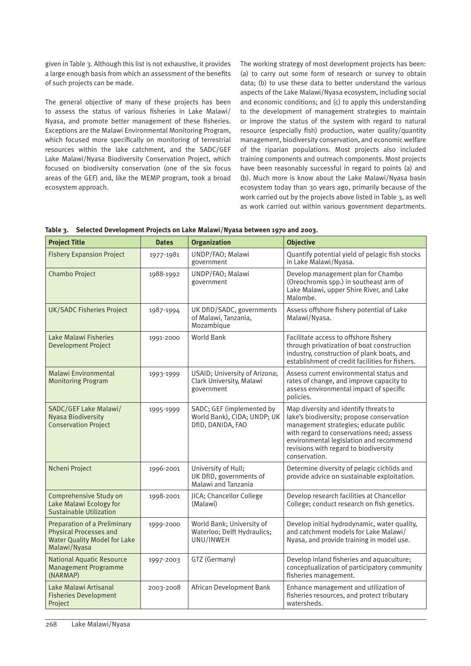given in Table 3. Although this list is not exhaustive, it provides a large enough basis from which an assessment of the benefits of such projects can be made.

The general objective of many of these projects has been to assess the status of various fisheries in Lake Malawi/ Nyasa, and promote better management of these fisheries. Exceptions are the Malawi Environmental Monitoring Program, which focused more specifically on monitoring of terrestrial resources within the lake catchment, and the SADC/GEF Lake Malawi/Nyasa Biodiversity Conservation Project, which focused on biodiversity conservation (one of the six focus areas of the GEF) and, like the MEMP program, took a broad ecosystem approach.

The working strategy of most development projects has been: (a) to carry out some form of research or survey to obtain data; (b) to use these data to better understand the various aspects of the Lake Malawi/Nyasa ecosystem, including social and economic conditions; and (c) to apply this understanding to the development of management strategies to maintain or improve the status of the system with regard to natural resource (especially fish) production, water quality/quantity management, biodiversity conservation, and economic welfare of the riparian populations. Most projects also included training components and outreach components. Most projects have been reasonably successful in regard to points (a) and (b). Much more is know about the Lake Malawi/Nyasa basin ecosystem today than 30 years ago, primarily because of the work carried out by the projects above listed in Table 3, as well as work carried out within various government departments.

|  | Table 3. Selected Development Projects on Lake Malawi/Nyasa between 1970 and 2003. |  |  |  |
|--|------------------------------------------------------------------------------------|--|--|--|
|--|------------------------------------------------------------------------------------|--|--|--|

| <b>Project Title</b>                                                                                                        | <b>Dates</b> | <b>Organization</b>                                                           | <b>Objective</b>                                                                                                                                                                                                                                                              |
|-----------------------------------------------------------------------------------------------------------------------------|--------------|-------------------------------------------------------------------------------|-------------------------------------------------------------------------------------------------------------------------------------------------------------------------------------------------------------------------------------------------------------------------------|
| <b>Fishery Expansion Project</b>                                                                                            | 1977-1981    | UNDP/FAO; Malawi<br>government                                                | Quantify potential yield of pelagic fish stocks<br>in Lake Malawi/Nyasa.                                                                                                                                                                                                      |
| <b>Chambo Project</b>                                                                                                       | 1988-1992    | UNDP/FAO; Malawi<br>government                                                | Develop management plan for Chambo<br>(Oreochromis spp.) in southeast arm of<br>Lake Malawi, upper Shire River, and Lake<br>Malombe.                                                                                                                                          |
| UK/SADC Fisheries Project                                                                                                   | 1987-1994    | UK DfID/SADC, governments<br>of Malawi, Tanzania,<br>Mozambique               | Assess offshore fishery potential of Lake<br>Malawi/Nyasa.                                                                                                                                                                                                                    |
| Lake Malawi Fisheries<br><b>Development Project</b>                                                                         | 1991-2000    | <b>World Bank</b>                                                             | Facilitate access to offshore fishery<br>through privatization of boat construction<br>industry, construction of plank boats, and<br>establishment of credit facilities for fishers.                                                                                          |
| <b>Malawi Environmental</b><br><b>Monitoring Program</b>                                                                    | 1993-1999    | USAID; University of Arizona;<br>Clark University, Malawi<br>government       | Assess current environmental status and<br>rates of change, and improve capacity to<br>assess environmental impact of specific<br>policies.                                                                                                                                   |
| SADC/GEF Lake Malawi/<br><b>Nyasa Biodiversity</b><br><b>Conservation Project</b>                                           | 1995-1999    | SADC; GEF (implemented by<br>World Bank), CIDA; UNDP; UK<br>DfID, DANIDA, FAO | Map diversity and identify threats to<br>lake's biodiversity; propose conservation<br>management strategies; educate public<br>with regard to conservations need; assess<br>environmental legislation and recommend<br>revisions with regard to biodiversity<br>conservation. |
| Ncheni Project                                                                                                              | 1996-2001    | University of Hull;<br>UK DfID, governments of<br>Malawi and Tanzania         | Determine diversity of pelagic cichlids and<br>provide advice on sustainable exploitation.                                                                                                                                                                                    |
| Comprehensive Study on<br>Lake Malawi Ecology for<br><b>Sustainable Utilization</b>                                         | 1998-2001    | JICA; Chancellor College<br>(Malawi)                                          | Develop research facilities at Chancellor<br>College; conduct research on fish genetics.                                                                                                                                                                                      |
| <b>Preparation of a Preliminary</b><br><b>Physical Processes and</b><br><b>Water Quality Model for Lake</b><br>Malawi/Nyasa | 1999-2000    | World Bank; University of<br>Waterloo; Delft Hydraulics;<br>UNU/INWEH         | Develop initial hydrodynamic, water quality,<br>and catchment models for Lake Malawi/<br>Nyasa, and provide training in model use.                                                                                                                                            |
| <b>National Aquatic Resource</b><br><b>Management Programme</b><br>(NARMAP)                                                 | 1997-2003    | GTZ (Germany)                                                                 | Develop inland fisheries and aquaculture;<br>conceptualization of participatory community<br>fisheries management.                                                                                                                                                            |
| Lake Malawi Artisanal<br><b>Fisheries Development</b><br>Project                                                            | 2003-2008    | African Development Bank                                                      | Enhance management and utilization of<br>fisheries resources, and protect tributary<br>watersheds.                                                                                                                                                                            |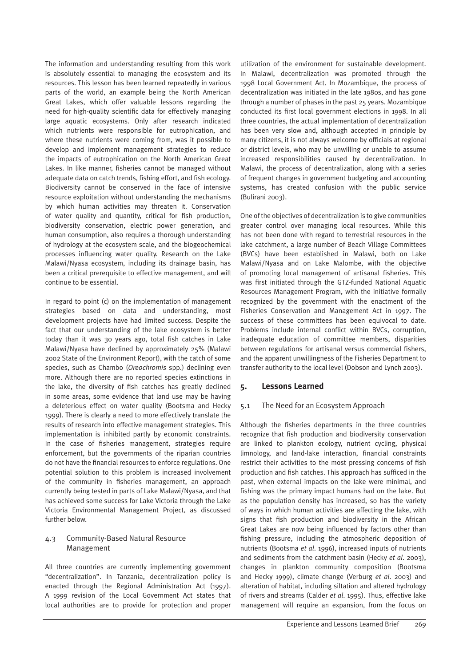The information and understanding resulting from this work is absolutely essential to managing the ecosystem and its resources. This lesson has been learned repeatedly in various parts of the world, an example being the North American Great Lakes, which offer valuable lessons regarding the need for high-quality scientific data for effectively managing large aquatic ecosystems. Only after research indicated which nutrients were responsible for eutrophication, and where these nutrients were coming from, was it possible to develop and implement management strategies to reduce the impacts of eutrophication on the North American Great Lakes. In like manner, fisheries cannot be managed without adequate data on catch trends, fishing effort, and fish ecology. Biodiversity cannot be conserved in the face of intensive resource exploitation without understanding the mechanisms by which human activities may threaten it. Conservation of water quality and quantity, critical for fish production, biodiversity conservation, electric power generation, and human consumption, also requires a thorough understanding of hydrology at the ecosystem scale, and the biogeochemical processes influencing water quality. Research on the Lake Malawi/Nyasa ecosystem, including its drainage basin, has been a critical prerequisite to effective management, and will continue to be essential.

In regard to point (c) on the implementation of management strategies based on data and understanding, most development projects have had limited success. Despite the fact that our understanding of the lake ecosystem is better today than it was 30 years ago, total fish catches in Lake Malawi/Nyasa have declined by approximately 25% (Malawi 2002 State of the Environment Report), with the catch of some species, such as Chambo (*Oreochromis* spp.) declining even more. Although there are no reported species extinctions in the lake, the diversity of fish catches has greatly declined in some areas, some evidence that land use may be having a deleterious effect on water quality (Bootsma and Hecky 1999). There is clearly a need to more effectively translate the results of research into effective management strategies. This implementation is inhibited partly by economic constraints. In the case of fisheries management, strategies require enforcement, but the governments of the riparian countries do not have the financial resources to enforce regulations. One potential solution to this problem is increased involvement of the community in fisheries management, an approach currently being tested in parts of Lake Malawi/Nyasa, and that has achieved some success for Lake Victoria through the Lake Victoria Environmental Management Project, as discussed further below.

# 4.3 Community-Based Natural Resource Management

All three countries are currently implementing government "decentralization". In Tanzania, decentralization policy is enacted through the Regional Administration Act (1997). A 1999 revision of the Local Government Act states that local authorities are to provide for protection and proper

utilization of the environment for sustainable development. In Malawi, decentralization was promoted through the 1998 Local Government Act. In Mozambique, the process of decentralization was initiated in the late 1980s, and has gone through a number of phases in the past 25 years. Mozambique conducted its first local government elections in 1998. In all three countries, the actual implementation of decentralization has been very slow and, although accepted in principle by many citizens, it is not always welcome by officials at regional or district levels, who may be unwilling or unable to assume increased responsibilities caused by decentralization. In Malawi, the process of decentralization, along with a series of frequent changes in government budgeting and accounting systems, has created confusion with the public service (Bulirani 2003).

One of the objectives of decentralization is to give communities greater control over managing local resources. While this has not been done with regard to terrestrial resources in the lake catchment, a large number of Beach Village Committees (BVCs) have been established in Malawi, both on Lake Malawi/Nyasa and on Lake Malombe, with the objective of promoting local management of artisanal fisheries. This was first initiated through the GTZ-funded National Aquatic Resources Management Program, with the initiative formally recognized by the government with the enactment of the Fisheries Conservation and Management Act in 1997. The success of these committees has been equivocal to date. Problems include internal conflict within BVCs, corruption, inadequate education of committee members, disparities between regulations for artisanal versus commercial fishers, and the apparent unwillingness of the Fisheries Department to transfer authority to the local level (Dobson and Lynch 2003).

# **5. Lessons Learned**

#### 5.1 The Need for an Ecosystem Approach

Although the fisheries departments in the three countries recognize that fish production and biodiversity conservation are linked to plankton ecology, nutrient cycling, physical limnology, and land-lake interaction, financial constraints restrict their activities to the most pressing concerns of fish production and fish catches. This approach has sufficed in the past, when external impacts on the lake were minimal, and fishing was the primary impact humans had on the lake. But as the population density has increased, so has the variety of ways in which human activities are affecting the lake, with signs that fish production and biodiversity in the African Great Lakes are now being influenced by factors other than fishing pressure, including the atmospheric deposition of nutrients (Bootsma *et al*. 1996), increased inputs of nutrients and sediments from the catchment basin (Hecky *et al*. 2003), changes in plankton community composition (Bootsma and Hecky 1999), climate change (Verburg *et al*. 2003) and alteration of habitat, including siltation and altered hydrology of rivers and streams (Calder *et al*. 1995). Thus, effective lake management will require an expansion, from the focus on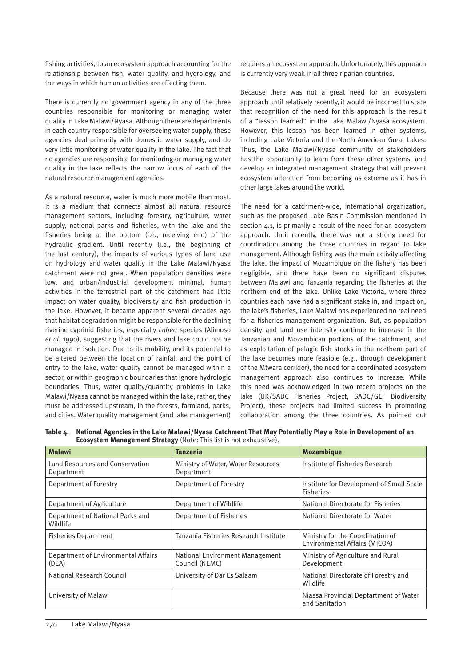fishing activities, to an ecosystem approach accounting for the relationship between fish, water quality, and hydrology, and the ways in which human activities are affecting them.

There is currently no government agency in any of the three countries responsible for monitoring or managing water quality in Lake Malawi/Nyasa. Although there are departments in each country responsible for overseeing water supply, these agencies deal primarily with domestic water supply, and do very little monitoring of water quality in the lake. The fact that no agencies are responsible for monitoring or managing water quality in the lake reflects the narrow focus of each of the natural resource management agencies.

As a natural resource, water is much more mobile than most. It is a medium that connects almost all natural resource management sectors, including forestry, agriculture, water supply, national parks and fisheries, with the lake and the fisheries being at the bottom (i.e., receiving end) of the hydraulic gradient. Until recently (i.e., the beginning of the last century), the impacts of various types of land use on hydrology and water quality in the Lake Malawi/Nyasa catchment were not great. When population densities were low, and urban/industrial development minimal, human activities in the terrestrial part of the catchment had little impact on water quality, biodiversity and fish production in the lake. However, it became apparent several decades ago that habitat degradation might be responsible for the declining riverine cyprinid fisheries, especially *Labeo* species (Alimoso *et al*. 1990), suggesting that the rivers and lake could not be managed in isolation. Due to its mobility, and its potential to be altered between the location of rainfall and the point of entry to the lake, water quality cannot be managed within a sector, or within geographic boundaries that ignore hydrologic boundaries. Thus, water quality/quantity problems in Lake Malawi/Nyasa cannot be managed within the lake; rather, they must be addressed upstream, in the forests, farmland, parks, and cities. Water quality management (and lake management)

requires an ecosystem approach. Unfortunately, this approach is currently very weak in all three riparian countries.

Because there was not a great need for an ecosystem approach until relatively recently, it would be incorrect to state that recognition of the need for this approach is the result of a "lesson learned" in the Lake Malawi/Nyasa ecosystem. However, this lesson has been learned in other systems, including Lake Victoria and the North American Great Lakes. Thus, the Lake Malawi/Nyasa community of stakeholders has the opportunity to learn from these other systems, and develop an integrated management strategy that will prevent ecosystem alteration from becoming as extreme as it has in other large lakes around the world.

The need for a catchment-wide, international organization, such as the proposed Lake Basin Commission mentioned in section 4.1, is primarily a result of the need for an ecosystem approach. Until recently, there was not a strong need for coordination among the three countries in regard to lake management. Although fishing was the main activity affecting the lake, the impact of Mozambique on the fishery has been negligible, and there have been no significant disputes between Malawi and Tanzania regarding the fisheries at the northern end of the lake. Unlike Lake Victoria, where three countries each have had a significant stake in, and impact on, the lake's fisheries, Lake Malawi has experienced no real need for a fisheries management organization. But, as population density and land use intensity continue to increase in the Tanzanian and Mozambican portions of the catchment, and as exploitation of pelagic fish stocks in the northern part of the lake becomes more feasible (e.g., through development of the Mtwara corridor), the need for a coordinated ecosystem management approach also continues to increase. While this need was acknowledged in two recent projects on the lake (UK/SADC Fisheries Project; SADC/GEF Biodiversity Project), these projects had limited success in promoting collaboration among the three countries. As pointed out

| Table 4.    National Agencies in the Lake Malawi/Nyasa Catchment That May Potentially Play a Role in Development of an |
|------------------------------------------------------------------------------------------------------------------------|
| <b>Ecosystem Management Strategy</b> (Note: This list is not exhaustive).                                              |

| <b>Malawi</b>                                 | <b>Tanzania</b>                                   | <b>Mozambique</b>                                                 |  |
|-----------------------------------------------|---------------------------------------------------|-------------------------------------------------------------------|--|
| Land Resources and Conservation<br>Department | Ministry of Water, Water Resources<br>Department  | Institute of Fisheries Research                                   |  |
| Department of Forestry                        | Department of Forestry                            | Institute for Development of Small Scale<br><b>Fisheries</b>      |  |
| Department of Agriculture                     | Department of Wildlife                            | National Directorate for Fisheries                                |  |
| Department of National Parks and<br>Wildlife  | Department of Fisheries                           | National Directorate for Water                                    |  |
| <b>Fisheries Department</b>                   | Tanzania Fisheries Research Institute             | Ministry for the Coordination of<br>Environmental Affairs (MICOA) |  |
| Department of Environmental Affairs<br>(DEA)  | National Environment Management<br>Council (NEMC) | Ministry of Agriculture and Rural<br>Development                  |  |
| National Research Council                     | University of Dar Es Salaam                       | National Directorate of Forestry and<br>Wildlife                  |  |
| University of Malawi                          |                                                   | Niassa Provincial Deptartment of Water<br>and Sanitation          |  |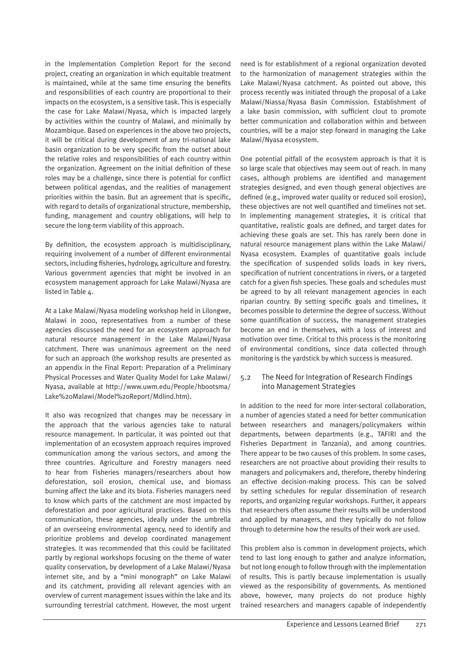in the Implementation Completion Report for the second project, creating an organization in which equitable treatment is maintained, while at the same time ensuring the benefits and responsibilities of each country are proportional to their impacts on the ecosystem, is a sensitive task. This is especially the case for Lake Malawi/Nyasa, which is impacted largely by activities within the country of Malawi, and minimally by Mozambique. Based on experiences in the above two projects, it will be critical during development of any tri-national lake basin organization to be very specific from the outset about the relative roles and responsibilities of each country within the organization. Agreement on the initial definition of these roles may be a challenge, since there is potential for conflict between political agendas, and the realities of management priorities within the basin. But an agreement that is specific, with regard to details of organizational structure, membership, funding, management and country obligations, will help to secure the long-term viability of this approach.

By definition, the ecosystem approach is multidisciplinary, requiring involvement of a number of different environmental sectors, including fisheries, hydrology, agriculture and forestry. Various government agencies that might be involved in an ecosystem management approach for Lake Malawi/Nyasa are listed in Table 4.

At a Lake Malawi/Nyasa modeling workshop held in Lilongwe, Malawi in 2000, representatives from a number of these agencies discussed the need for an ecosystem approach for natural resource management in the Lake Malawi/Nyasa catchment. There was unanimous agreement on the need for such an approach (the workshop results are presented as an appendix in the Final Report: Preparation of a Preliminary Physical Processes and Water Quality Model for Lake Malawi/ Nyasa, available at http://www.uwm.edu/People/hbootsma/ Lake%20Malawi/Model%20Report/Mdlind.htm).

It also was recognized that changes may be necessary in the approach that the various agencies take to natural resource management. In particular, it was pointed out that implementation of an ecosystem approach requires improved communication among the various sectors, and among the three countries. Agriculture and Forestry managers need to hear from Fisheries managers/researchers about how deforestation, soil erosion, chemical use, and biomass burning affect the lake and its biota. Fisheries managers need to know which parts of the catchment are most impacted by deforestation and poor agricultural practices. Based on this communication, these agencies, ideally under the umbrella of an overseeing environmental agency, need to identify and prioritize problems and develop coordinated management strategies. It was recommended that this could be facilitated partly by regional workshops focusing on the theme of water quality conservation, by development of a Lake Malawi/Nyasa internet site, and by a "mini monograph" on Lake Malawi and its catchment, providing all relevant agencies with an overview of current management issues within the lake and its surrounding terrestrial catchment. However, the most urgent

need is for establishment of a regional organization devoted to the harmonization of management strategies within the Lake Malawi/Nyasa catchment. As pointed out above, this process recently was initiated through the proposal of a Lake Malawi/Niassa/Nyasa Basin Commission. Establishment of a lake basin commission, with sufficient clout to promote better communication and collaboration within and between countries, will be a major step forward in managing the Lake Malawi/Nyasa ecosystem.

One potential pitfall of the ecosystem approach is that it is so large scale that objectives may seem out of reach. In many cases, although problems are identified and management strategies designed, and even though general objectives are defined (e.g., improved water quality or reduced soil erosion), these objectives are not well quantified and timelines not set. In implementing management strategies, it is critical that quantitative, realistic goals are defined, and target dates for achieving these goals are set. This has rarely been done in natural resource management plans within the Lake Malawi/ Nyasa ecosystem. Examples of quantitative goals include the specification of suspended solids loads in key rivers, specification of nutrient concentrations in rivers, or a targeted catch for a given fish species. These goals and schedules must be agreed to by all relevant management agencies in each riparian country. By setting specific goals and timelines, it becomes possible to determine the degree of success. Without some quantification of success, the management strategies become an end in themselves, with a loss of interest and motivation over time. Critical to this process is the monitoring of environmental conditions, since data collected through monitoring is the yardstick by which success is measured.

#### 5.2 The Need for Integration of Research Findings into Management Strategies

In addition to the need for more inter-sectoral collaboration, a number of agencies stated a need for better communication between researchers and managers/policymakers within departments, between departments (e.g., TAFIRI and the Fisheries Department in Tanzania), and among countries. There appear to be two causes of this problem. In some cases, researchers are not proactive about providing their results to managers and policymakers and, therefore, thereby hindering an effective decision-making process. This can be solved by setting schedules for regular dissemination of research reports, and organizing regular workshops. Further, it appears that researchers often assume their results will be understood and applied by managers, and they typically do not follow through to determine how the results of their work are used.

This problem also is common in development projects, which tend to last long enough to gather and analyze information, but not long enough to follow through with the implementation of results. This is partly because implementation is usually viewed as the responsibility of governments. As mentioned above, however, many projects do not produce highly trained researchers and managers capable of independently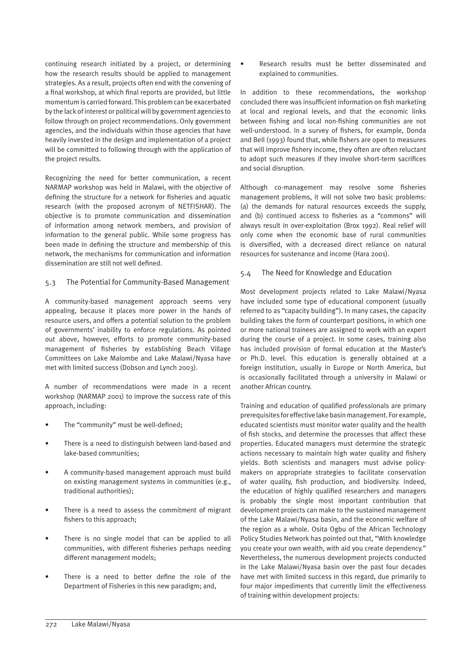continuing research initiated by a project, or determining how the research results should be applied to management strategies. As a result, projects often end with the convening of a final workshop, at which final reports are provided, but little momentum is carried forward. This problem can be exacerbated by the lack of interest or political will by government agencies to follow through on project recommendations. Only government agencies, and the individuals within those agencies that have heavily invested in the design and implementation of a project will be committed to following through with the application of the project results.

Recognizing the need for better communication, a recent NARMAP workshop was held in Malawi, with the objective of defining the structure for a network for fisheries and aquatic research (with the proposed acronym of NETFISHAR). The objective is to promote communication and dissemination of information among network members, and provision of information to the general public. While some progress has been made in defining the structure and membership of this network, the mechanisms for communication and information dissemination are still not well defined.

#### 5.3 The Potential for Community-Based Management

A community-based management approach seems very appealing, because it places more power in the hands of resource users, and offers a potential solution to the problem of governments' inability to enforce regulations. As pointed out above, however, efforts to promote community-based management of fisheries by establishing Beach Village Committees on Lake Malombe and Lake Malawi/Nyasa have met with limited success (Dobson and Lynch 2003).

A number of recommendations were made in a recent workshop (NARMAP 2001) to improve the success rate of this approach, including:

- The "community" must be well-defined;
- There is a need to distinguish between land-based and lake-based communities;
- A community-based management approach must build on existing management systems in communities (e.g., traditional authorities);
- There is a need to assess the commitment of migrant fishers to this approach;
- There is no single model that can be applied to all communities, with different fisheries perhaps needing different management models;
- There is a need to better define the role of the Department of Fisheries in this new paradigm; and,

• Research results must be better disseminated and explained to communities.

In addition to these recommendations, the workshop concluded there was insufficient information on fish marketing at local and regional levels, and that the economic links between fishing and local non-fishing communities are not well-understood. In a survey of fishers, for example, Donda and Bell (1993) found that, while fishers are open to measures that will improve fishery income, they often are often reluctant to adopt such measures if they involve short-term sacrifices and social disruption.

Although co-management may resolve some fisheries management problems, it will not solve two basic problems: (a) the demands for natural resources exceeds the supply, and (b) continued access to fisheries as a "commons" will always result in over-exploitation (Brox 1992). Real relief will only come when the economic base of rural communities is diversified, with a decreased direct reliance on natural resources for sustenance and income (Hara 2001).

#### 5.4 The Need for Knowledge and Education

Most development projects related to Lake Malawi/Nyasa have included some type of educational component (usually referred to as "capacity building"). In many cases, the capacity building takes the form of counterpart positions, in which one or more national trainees are assigned to work with an expert during the course of a project. In some cases, training also has included provision of formal education at the Master's or Ph.D. level. This education is generally obtained at a foreign institution, usually in Europe or North America, but is occasionally facilitated through a university in Malawi or another African country.

Training and education of qualified professionals are primary prerequisites for effective lake basin management. For example, educated scientists must monitor water quality and the health of fish stocks, and determine the processes that affect these properties. Educated managers must determine the strategic actions necessary to maintain high water quality and fishery yields. Both scientists and managers must advise policymakers on appropriate strategies to facilitate conservation of water quality, fish production, and biodiversity. Indeed, the education of highly qualified researchers and managers is probably the single most important contribution that development projects can make to the sustained management of the Lake Malawi/Nyasa basin, and the economic welfare of the region as a whole. Osita Ogbu of the African Technology Policy Studies Network has pointed out that, "With knowledge you create your own wealth, with aid you create dependency." Nevertheless, the numerous development projects conducted in the Lake Malawi/Nyasa basin over the past four decades have met with limited success in this regard, due primarily to four major impediments that currently limit the effectiveness of training within development projects: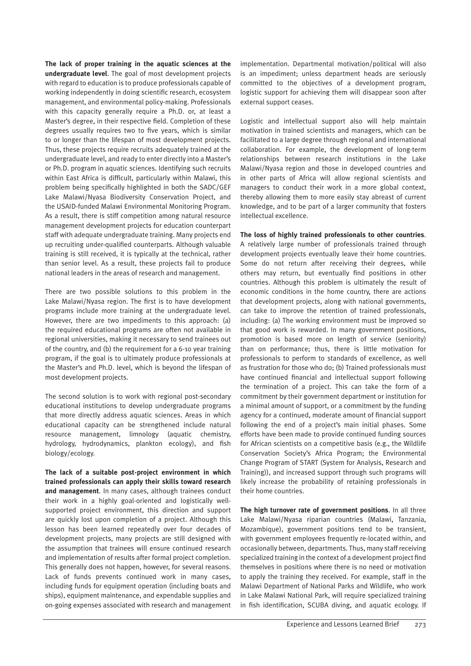**The lack of proper training in the aquatic sciences at the undergraduate level**. The goal of most development projects with regard to education is to produce professionals capable of working independently in doing scientific research, ecosystem management, and environmental policy-making. Professionals with this capacity generally require a Ph.D. or, at least a Master's degree, in their respective field. Completion of these degrees usually requires two to five years, which is similar to or longer than the lifespan of most development projects. Thus, these projects require recruits adequately trained at the undergraduate level, and ready to enter directly into a Master's or Ph.D. program in aquatic sciences. Identifying such recruits within East Africa is difficult, particularly within Malawi, this problem being specifically highlighted in both the SADC/GEF Lake Malawi/Nyasa Biodiversity Conservation Project, and the USAID-funded Malawi Environmental Monitoring Program. As a result, there is stiff competition among natural resource management development projects for education counterpart staff with adequate undergraduate training. Many projects end up recruiting under-qualified counterparts. Although valuable training is still received, it is typically at the technical, rather than senior level. As a result, these projects fail to produce national leaders in the areas of research and management.

There are two possible solutions to this problem in the Lake Malawi/Nyasa region. The first is to have development programs include more training at the undergraduate level. However, there are two impediments to this approach: (a) the required educational programs are often not available in regional universities, making it necessary to send trainees out of the country, and (b) the requirement for a 6-10 year training program, if the goal is to ultimately produce professionals at the Master's and Ph.D. level, which is beyond the lifespan of most development projects.

The second solution is to work with regional post-secondary educational institutions to develop undergraduate programs that more directly address aquatic sciences. Areas in which educational capacity can be strengthened include natural resource management, limnology (aquatic chemistry, hydrology, hydrodynamics, plankton ecology), and fish biology/ecology.

**The lack of a suitable post-project environment in which trained professionals can apply their skills toward research and management**. In many cases, although trainees conduct their work in a highly goal-oriented and logistically wellsupported project environment, this direction and support are quickly lost upon completion of a project. Although this lesson has been learned repeatedly over four decades of development projects, many projects are still designed with the assumption that trainees will ensure continued research and implementation of results after formal project completion. This generally does not happen, however, for several reasons. Lack of funds prevents continued work in many cases, including funds for equipment operation (including boats and ships), equipment maintenance, and expendable supplies and on-going expenses associated with research and management

implementation. Departmental motivation/political will also is an impediment; unless department heads are seriously committed to the objectives of a development program, logistic support for achieving them will disappear soon after external support ceases.

Logistic and intellectual support also will help maintain motivation in trained scientists and managers, which can be facilitated to a large degree through regional and international collaboration. For example, the development of long-term relationships between research institutions in the Lake Malawi/Nyasa region and those in developed countries and in other parts of Africa will allow regional scientists and managers to conduct their work in a more global context, thereby allowing them to more easily stay abreast of current knowledge, and to be part of a larger community that fosters intellectual excellence.

**The loss of highly trained professionals to other countries**. A relatively large number of professionals trained through development projects eventually leave their home countries. Some do not return after receiving their degrees, while others may return, but eventually find positions in other countries. Although this problem is ultimately the result of economic conditions in the home country, there are actions that development projects, along with national governments, can take to improve the retention of trained professionals, including: (a) The working environment must be improved so that good work is rewarded. In many government positions, promotion is based more on length of service (seniority) than on performance; thus, there is little motivation for professionals to perform to standards of excellence, as well as frustration for those who do; (b) Trained professionals must have continued financial and intellectual support following the termination of a project. This can take the form of a commitment by their government department or institution for a minimal amount of support, or a commitment by the funding agency for a continued, moderate amount of financial support following the end of a project's main initial phases. Some efforts have been made to provide continued funding sources for African scientists on a competitive basis (e.g., the Wildlife Conservation Society's Africa Program; the Environmental Change Program of START (System for Analysis, Research and Training)), and increased support through such programs will likely increase the probability of retaining professionals in their home countries.

**The high turnover rate of government positions**. In all three Lake Malawi/Nyasa riparian countries (Malawi, Tanzania, Mozambique), government positions tend to be transient, with government employees frequently re-located within, and occasionally between, departments. Thus, many staff receiving specialized training in the context of a development project find themselves in positions where there is no need or motivation to apply the training they received. For example, staff in the Malawi Department of National Parks and Wildlife, who work in Lake Malawi National Park, will require specialized training in fish identification, SCUBA diving, and aquatic ecology. If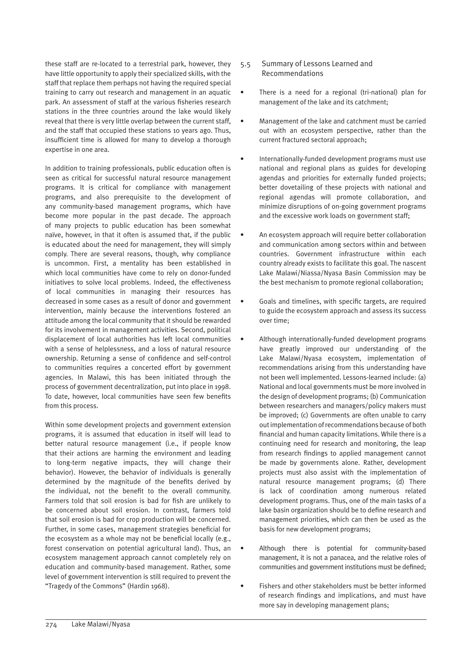these staff are re-located to a terrestrial park, however, they have little opportunity to apply their specialized skills, with the staff that replace them perhaps not having the required special training to carry out research and management in an aquatic park. An assessment of staff at the various fisheries research stations in the three countries around the lake would likely reveal that there is very little overlap between the current staff, and the staff that occupied these stations 10 years ago. Thus, insufficient time is allowed for many to develop a thorough expertise in one area.

In addition to training professionals, public education often is seen as critical for successful natural resource management programs. It is critical for compliance with management programs, and also prerequisite to the development of any community-based management programs, which have become more popular in the past decade. The approach of many projects to public education has been somewhat naïve, however, in that it often is assumed that, if the public is educated about the need for management, they will simply comply. There are several reasons, though, why compliance is uncommon. First, a mentality has been established in which local communities have come to rely on donor-funded initiatives to solve local problems. Indeed, the effectiveness of local communities in managing their resources has decreased in some cases as a result of donor and government intervention, mainly because the interventions fostered an attitude among the local community that it should be rewarded for its involvement in management activities. Second, political displacement of local authorities has left local communities with a sense of helplessness, and a loss of natural resource ownership. Returning a sense of confidence and self-control to communities requires a concerted effort by government agencies. In Malawi, this has been initiated through the process of government decentralization, put into place in 1998. To date, however, local communities have seen few benefits from this process.

Within some development projects and government extension programs, it is assumed that education in itself will lead to better natural resource management (i.e., if people know that their actions are harming the environment and leading to long-term negative impacts, they will change their behavior). However, the behavior of individuals is generally determined by the magnitude of the benefits derived by the individual, not the benefit to the overall community. Farmers told that soil erosion is bad for fish are unlikely to be concerned about soil erosion. In contrast, farmers told that soil erosion is bad for crop production will be concerned. Further, in some cases, management strategies beneficial for the ecosystem as a whole may not be beneficial locally (e.g., forest conservation on potential agricultural land). Thus, an ecosystem management approach cannot completely rely on education and community-based management. Rather, some level of government intervention is still required to prevent the "Tragedy of the Commons" (Hardin 1968).

- 5.5 Summary of Lessons Learned and Recommendations
- There is a need for a regional (tri-national) plan for management of the lake and its catchment;
- Management of the lake and catchment must be carried out with an ecosystem perspective, rather than the current fractured sectoral approach;
- Internationally-funded development programs must use national and regional plans as guides for developing agendas and priorities for externally funded projects; better dovetailing of these projects with national and regional agendas will promote collaboration, and minimize disruptions of on-going government programs and the excessive work loads on government staff;
- An ecosystem approach will require better collaboration and communication among sectors within and between countries. Government infrastructure within each country already exists to facilitate this goal. The nascent Lake Malawi/Niassa/Nyasa Basin Commission may be the best mechanism to promote regional collaboration;
- Goals and timelines, with specific targets, are required to guide the ecosystem approach and assess its success over time;
- Although internationally-funded development programs have greatly improved our understanding of the Lake Malawi/Nyasa ecosystem, implementation of recommendations arising from this understanding have not been well implemented. Lessons-learned include: (a) National and local governments must be more involved in the design of development programs; (b) Communication between researchers and managers/policy makers must be improved; (c) Governments are often unable to carry out implementation of recommendations because of both financial and human capacity limitations. While there is a continuing need for research and monitoring, the leap from research findings to applied management cannot be made by governments alone. Rather, development projects must also assist with the implementation of natural resource management programs; (d) There is lack of coordination among numerous related development programs. Thus, one of the main tasks of a lake basin organization should be to define research and management priorities, which can then be used as the basis for new development programs;
- Although there is potential for community-based management, it is not a panacea, and the relative roles of communities and government institutions must be defined;
- Fishers and other stakeholders must be better informed of research findings and implications, and must have more say in developing management plans;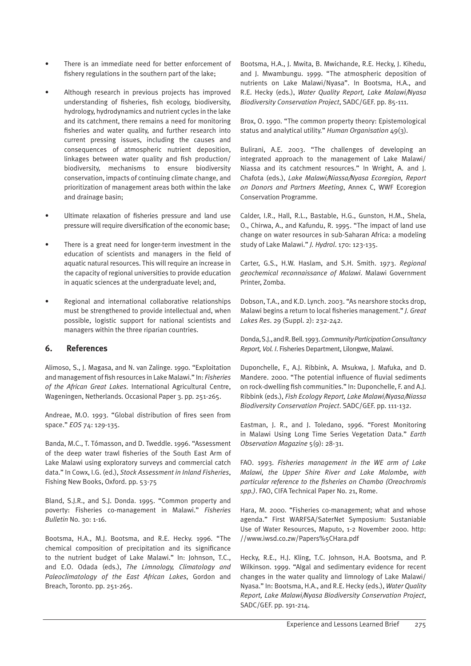- There is an immediate need for better enforcement of fishery regulations in the southern part of the lake;
- Although research in previous projects has improved understanding of fisheries, fish ecology, biodiversity, hydrology, hydrodynamics and nutrient cycles in the lake and its catchment, there remains a need for monitoring fisheries and water quality, and further research into current pressing issues, including the causes and consequences of atmospheric nutrient deposition, linkages between water quality and fish production/ biodiversity, mechanisms to ensure biodiversity conservation, impacts of continuing climate change, and prioritization of management areas both within the lake and drainage basin;
- Ultimate relaxation of fisheries pressure and land use pressure will require diversification of the economic base;
- There is a great need for longer-term investment in the education of scientists and managers in the field of aquatic natural resources. This will require an increase in the capacity of regional universities to provide education in aquatic sciences at the undergraduate level; and,
- Regional and international collaborative relationships must be strengthened to provide intellectual and, when possible, logistic support for national scientists and managers within the three riparian countries.

# **6. References**

Alimoso, S., J. Magasa, and N. van Zalinge. 1990. "Exploitation and management of fish resources in Lake Malawi." In: *Fisheries of the African Great Lakes*. International Agricultural Centre, Wageningen, Netherlands. Occasional Paper 3. pp. 251-265.

Andreae, M.O. 1993. "Global distribution of fires seen from space." *EOS* 74: 129-135.

Banda, M.C., T. Tómasson, and D. Tweddle. 1996. "Assessment of the deep water trawl fisheries of the South East Arm of Lake Malawi using exploratory surveys and commercial catch data." In Cowx, I.G. (ed.), *Stock Assessment in Inland Fisheries*, Fishing New Books, Oxford. pp. 53-75

Bland, S.J.R., and S.J. Donda. 1995. "Common property and poverty: Fisheries co-management in Malawi." *Fisheries Bulletin* No. 30: 1-16.

Bootsma, H.A., M.J. Bootsma, and R.E. Hecky. 1996. "The chemical composition of precipitation and its significance to the nutrient budget of Lake Malawi." In: Johnson, T.C., and E.O. Odada (eds.), *The Limnology, Climatology and Paleoclimatology of the East African Lakes*, Gordon and Breach, Toronto. pp. 251-265.

Bootsma, H.A., J. Mwita, B. Mwichande, R.E. Hecky, J. Kihedu, and J. Mwambungu. 1999. "The atmospheric deposition of nutrients on Lake Malawi/Nyasa". In Bootsma, H.A., and R.E. Hecky (eds.), *Water Quality Report, Lake Malawi/Nyasa Biodiversity Conservation Project*, SADC/GEF. pp. 85-111.

Brox, O. 1990. "The common property theory: Epistemological status and analytical utility." *Human Organisation* 49(3).

Bulirani, A.E. 2003. "The challenges of developing an integrated approach to the management of Lake Malawi/ Niassa and its catchment resources." In Wright, A. and J. Chafota (eds.), *Lake Malawi/Niassa/Nyasa Ecoregion, Report on Donors and Partners Meeting*, Annex C, WWF Ecoregion Conservation Programme.

Calder, I.R., Hall, R.L., Bastable, H.G., Gunston, H.M., Shela, O., Chirwa, A., and Kafundu, R. 1995. "The impact of land use change on water resources in sub-Saharan Africa: a modeling study of Lake Malawi." *J. Hydrol*. 170: 123-135.

Carter, G.S., H.W. Haslam, and S.H. Smith. 1973. *Regional geochemical reconnaissance of Malawi*. Malawi Government Printer, Zomba.

Dobson, T.A., and K.D. Lynch. 2003. "As nearshore stocks drop, Malawi begins a return to local fisheries management." *J. Great Lakes Res*. 29 (Suppl. 2): 232-242.

Donda, S.J., and R. Bell. 1993. *Community Participation Consultancy Report, Vol. I*. Fisheries Department, Lilongwe, Malawi.

Duponchelle, F., A.J. Ribbink, A. Msukwa, J. Mafuka, and D. Mandere. 2000. "The potential influence of fluvial sediments on rock-dwelling fish communities." In: Duponchelle, F. and A.J. Ribbink (eds.), *Fish Ecology Report, Lake Malawi/Nyasa/Niassa Biodiversity Conservation Project*. SADC/GEF. pp. 111-132.

Eastman, J. R., and J. Toledano, 1996. "Forest Monitoring in Malawi Using Long Time Series Vegetation Data." *Earth Observation Magazine* 5(9): 28-31.

FAO. 1993. *Fisheries management in the WE arm of Lake Malawi, the Upper Shire River and Lake Malombe, with particular reference to the fisheries on Chambo (Oreochromis spp.)*. FAO, CIFA Technical Paper No. 21, Rome.

Hara, M. 2000. "Fisheries co-management; what and whose agenda." First WARFSA/SaterNet Symposium: Sustaniable Use of Water Resources, Maputo, 1-2 November 2000. http: //www.iwsd.co.zw/Papers%5CHara.pdf

Hecky, R.E., H.J. Kling, T.C. Johnson, H.A. Bootsma, and P. Wilkinson. 1999. "Algal and sedimentary evidence for recent changes in the water quality and limnology of Lake Malawi/ Nyasa." In: Bootsma, H.A., and R.E. Hecky (eds.), *Water Quality Report, Lake Malawi/Nyasa Biodiversity Conservation Project*, SADC/GEF. pp. 191-214.